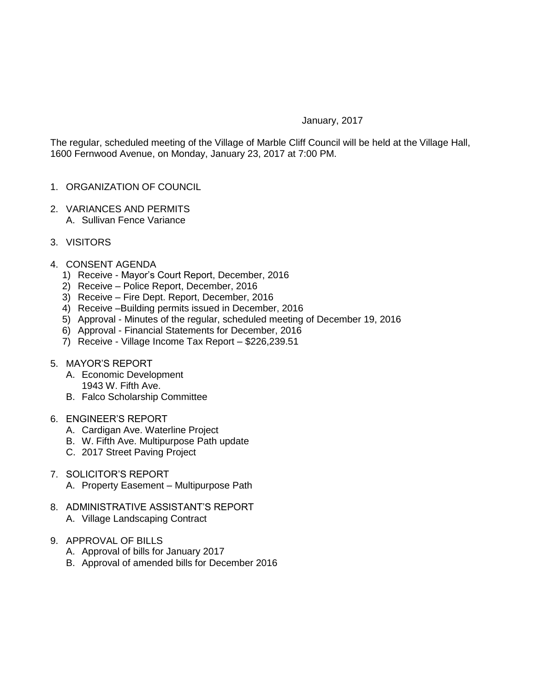## January, 2017

The regular, scheduled meeting of the Village of Marble Cliff Council will be held at the Village Hall, 1600 Fernwood Avenue, on Monday, January 23, 2017 at 7:00 PM.

- 1. ORGANIZATION OF COUNCIL
- 2. VARIANCES AND PERMITS A. Sullivan Fence Variance
- 3. VISITORS
- 4. CONSENT AGENDA
	- 1) Receive Mayor's Court Report, December, 2016
	- 2) Receive Police Report, December, 2016
	- 3) Receive Fire Dept. Report, December, 2016
	- 4) Receive –Building permits issued in December, 2016
	- 5) Approval Minutes of the regular, scheduled meeting of December 19, 2016
	- 6) Approval Financial Statements for December, 2016
	- 7) Receive Village Income Tax Report \$226,239.51
- 5. MAYOR'S REPORT
	- A. Economic Development
		- 1943 W. Fifth Ave.
	- B. Falco Scholarship Committee
- 6. ENGINEER'S REPORT
	- A. Cardigan Ave. Waterline Project
	- B. W. Fifth Ave. Multipurpose Path update
	- C. 2017 Street Paving Project
- 7. SOLICITOR'S REPORT A. Property Easement – Multipurpose Path
- 8. ADMINISTRATIVE ASSISTANT'S REPORT A. Village Landscaping Contract
- 9. APPROVAL OF BILLS
	- A. Approval of bills for January 2017
	- B. Approval of amended bills for December 2016